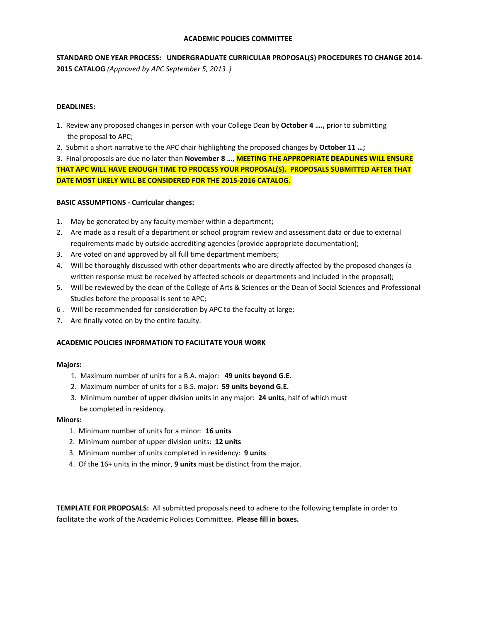# **ACADEMIC POLICIES COMMITTEE**

**STANDARD ONE YEAR PROCESS: UNDERGRADUATE CURRICULAR PROPOSAL(S) PROCEDURES TO CHANGE 2014- 2015 CATALOG** *(Approved by APC September 5, 2013 )*

# **DEADLINES:**

- 1. Review any proposed changes in person with your College Dean by **October 4 ….,** prior to submitting the proposal to APC;
- 2. Submit a short narrative to the APC chair highlighting the proposed changes by **October 11 …;**

3. Final proposals are due no later than **November 8 …, MEETING THE APPROPRIATE DEADLINES WILL ENSURE THAT APC WILL HAVE ENOUGH TIME TO PROCESS YOUR PROPOSAL(S). PROPOSALS SUBMITTED AFTER THAT DATE MOST LIKELY WILL BE CONSIDERED FOR THE 2015-2016 CATALOG.**

# **BASIC ASSUMPTIONS - Curricular changes:**

- 1. May be generated by any faculty member within a department;
- 2. Are made as a result of a department or school program review and assessment data or due to external requirements made by outside accrediting agencies (provide appropriate documentation);
- 3. Are voted on and approved by all full time department members;
- 4. Will be thoroughly discussed with other departments who are directly affected by the proposed changes (a written response must be received by affected schools or departments and included in the proposal);
- 5. Will be reviewed by the dean of the College of Arts & Sciences or the Dean of Social Sciences and Professional Studies before the proposal is sent to APC;
- 6 . Will be recommended for consideration by APC to the faculty at large;
- 7. Are finally voted on by the entire faculty.

# **ACADEMIC POLICIES INFORMATION TO FACILITATE YOUR WORK**

### **Majors:**

- 1. Maximum number of units for a B.A. major: **49 units beyond G.E.**
- 2. Maximum number of units for a B.S. major: **59 units beyond G.E.**
- 3. Minimum number of upper division units in any major: **24 units**, half of which must be completed in residency.

### **Minors:**

- 1. Minimum number of units for a minor: **16 units**
- 2. Minimum number of upper division units: **12 units**
- 3. Minimum number of units completed in residency: **9 units**
- 4. Of the 16+ units in the minor, **9 units** must be distinct from the major.

**TEMPLATE FOR PROPOSALS:** All submitted proposals need to adhere to the following template in order to facilitate the work of the Academic Policies Committee. **Please fill in boxes.**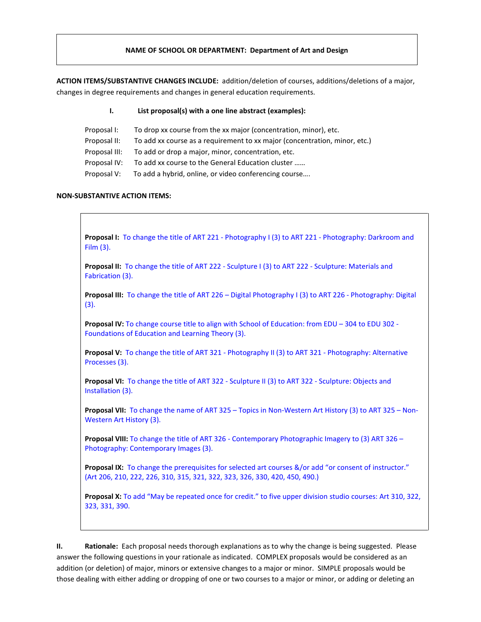# **NAME OF SCHOOL OR DEPARTMENT: Department of Art and Design**

**ACTION ITEMS/SUBSTANTIVE CHANGES INCLUDE:** addition/deletion of courses, additions/deletions of a major, changes in degree requirements and changes in general education requirements.

**I. List proposal(s) with a one line abstract (examples):**

| Proposal I:   | To drop xx course from the xx major (concentration, minor), etc.           |
|---------------|----------------------------------------------------------------------------|
| Proposal II:  | To add xx course as a requirement to xx major (concentration, minor, etc.) |
| Proposal III: | To add or drop a major, minor, concentration, etc.                         |
| Proposal IV:  | To add xx course to the General Education cluster                          |
| Proposal V:   | To add a hybrid, online, or video conferencing course                      |

### **NON-SUBSTANTIVE ACTION ITEMS:**

**Proposal I:** To change the title of ART 221 - Photography I (3) to ART 221 - Photography: Darkroom and Film (3). **Proposal II:** To change the title of ART 222 - Sculpture I (3) to ART 222 - Sculpture: Materials and Fabrication (3).

**Proposal III:** To change the title of ART 226 – Digital Photography I (3) to ART 226 - Photography: Digital (3).

**Proposal IV:** To change course title to align with School of Education: from EDU – 304 to EDU 302 - Foundations of Education and Learning Theory (3).

**Proposal V:** To change the title of ART 321 - Photography II (3) to ART 321 - Photography: Alternative Processes (3).

**Proposal VI:** To change the title of ART 322 - Sculpture II (3) to ART 322 - Sculpture: Objects and Installation (3).

**Proposal VII:** To change the name of ART 325 – Topics in Non-Western Art History (3) to ART 325 – Non-Western Art History (3).

**Proposal VIII:** To change the title of ART 326 - Contemporary Photographic Imagery to (3) ART 326 – Photography: Contemporary Images (3).

**Proposal IX:** To change the prerequisites for selected art courses &/or add "or consent of instructor." (Art 206, 210, 222, 226, 310, 315, 321, 322, 323, 326, 330, 420, 450, 490.)

**Proposal X:** To add "May be repeated once for credit." to five upper division studio courses: Art 310, 322, 323, 331, 390.

**II. Rationale:** Each proposal needs thorough explanations as to why the change is being suggested. Please answer the following questions in your rationale as indicated. COMPLEX proposals would be considered as an addition (or deletion) of major, minors or extensive changes to a major or minor. SIMPLE proposals would be those dealing with either adding or dropping of one or two courses to a major or minor, or adding or deleting an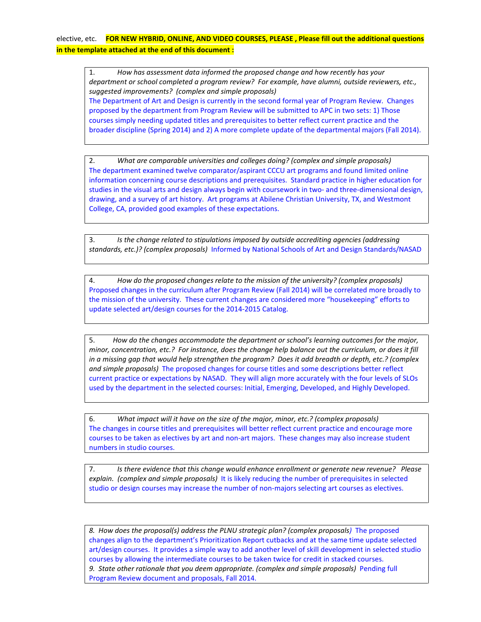# elective, etc. **FOR NEW HYBRID, ONLINE, AND VIDEO COURSES, PLEASE , Please fill out the additional questions in the template attached at the end of this document :**

1. *How has assessment data informed the proposed change and how recently has your department or school completed a program review? For example, have alumni, outside reviewers, etc., suggested improvements? (complex and simple proposals)* The Department of Art and Design is currently in the second formal year of Program Review. Changes proposed by the department from Program Review will be submitted to APC in two sets: 1) Those courses simply needing updated titles and prerequisites to better reflect current practice and the broader discipline (Spring 2014) and 2) A more complete update of the departmental majors (Fall 2014).

2. *What are comparable universities and colleges doing? (complex and simple proposals)* The department examined twelve comparator/aspirant CCCU art programs and found limited online information concerning course descriptions and prerequisites. Standard practice in higher education for studies in the visual arts and design always begin with coursework in two- and three-dimensional design, drawing, and a survey of art history. Art programs at Abilene Christian University, TX, and Westmont College, CA, provided good examples of these expectations.

3. *Is the change related to stipulations imposed by outside accrediting agencies (addressing standards, etc.)? (complex proposals)* Informed by National Schools of Art and Design Standards/NASAD

4. *How do the proposed changes relate to the mission of the university? (complex proposals)* Proposed changes in the curriculum after Program Review (Fall 2014) will be correlated more broadly to the mission of the university. These current changes are considered more "housekeeping" efforts to update selected art/design courses for the 2014-2015 Catalog.

5. *How do the changes accommodate the department or school's learning outcomes for the major, minor, concentration, etc.? For instance, does the change help balance out the curriculum, or does it fill in a missing gap that would help strengthen the program? Does it add breadth or depth, etc.? (complex and simple proposals)* The proposed changes for course titles and some descriptions better reflect current practice or expectations by NASAD. They will align more accurately with the four levels of SLOs used by the department in the selected courses: Initial, Emerging, Developed, and Highly Developed.

6. *What impact will it have on the size of the major, minor, etc.? (complex proposals)* The changes in course titles and prerequisites will better reflect current practice and encourage more courses to be taken as electives by art and non-art majors. These changes may also increase student numbers in studio courses.

7. *Is there evidence that this change would enhance enrollment or generate new revenue? Please explain. (complex and simple proposals)* It is likely reducing the number of prerequisites in selected studio or design courses may increase the number of non-majors selecting art courses as electives.

*8. How does the proposal(s) address the PLNU strategic plan? (complex proposals)* The proposed changes align to the department's Prioritization Report cutbacks and at the same time update selected art/design courses. It provides a simple way to add another level of skill development in selected studio courses by allowing the intermediate courses to be taken twice for credit in stacked courses. *9. State other rationale that you deem appropriate. (complex and simple proposals)* Pending full Program Review document and proposals, Fall 2014.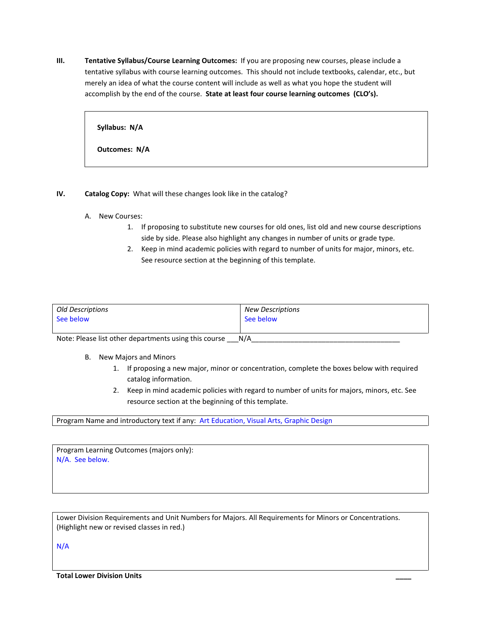**III. Tentative Syllabus/Course Learning Outcomes:** If you are proposing new courses, please include a tentative syllabus with course learning outcomes. This should not include textbooks, calendar, etc., but merely an idea of what the course content will include as well as what you hope the student will accomplish by the end of the course. **State at least four course learning outcomes (CLO's).** 

**Syllabus: N/A Outcomes: N/A**

# **IV. Catalog Copy:** What will these changes look like in the catalog?

- A. New Courses:
	- 1. If proposing to substitute new courses for old ones, list old and new course descriptions side by side. Please also highlight any changes in number of units or grade type.
	- 2. Keep in mind academic policies with regard to number of units for major, minors, etc. See resource section at the beginning of this template.

| Old Descriptions                                               | <b>New Descriptions</b> |  |
|----------------------------------------------------------------|-------------------------|--|
| See below                                                      | See below               |  |
|                                                                |                         |  |
| $N+1$<br>Alata: Disasa ilat atkan danambusanta walishin sawisa |                         |  |

Note: Please list other departments using this course \_\_\_N/A\_\_\_

- B. New Majors and Minors
	- 1. If proposing a new major, minor or concentration, complete the boxes below with required catalog information.
	- 2. Keep in mind academic policies with regard to number of units for majors, minors, etc. See resource section at the beginning of this template.

Program Name and introductory text if any: Art Education, Visual Arts, Graphic Design

Program Learning Outcomes (majors only): N/A. See below.

Lower Division Requirements and Unit Numbers for Majors. All Requirements for Minors or Concentrations. (Highlight new or revised classes in red.)

N/A

**Total Lower Division Units \_\_\_\_**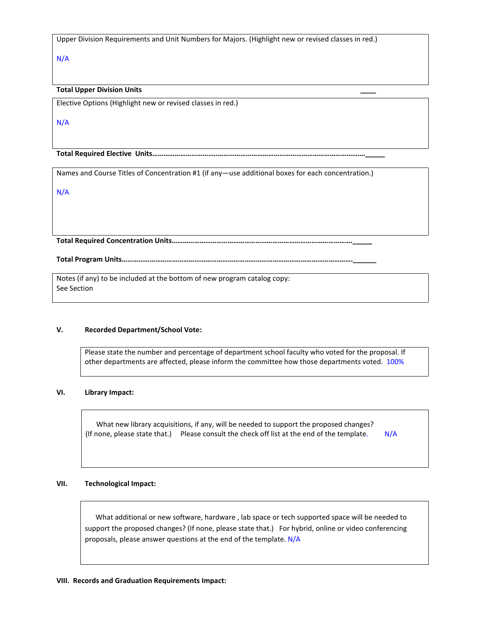Upper Division Requirements and Unit Numbers for Majors. (Highlight new or revised classes in red.)

N/A

# **Total Upper Division Units \_\_\_\_**

Elective Options (Highlight new or revised classes in red.)

N/A

**Total Required Elective Units……………………………..…………………………………………………………………….\_\_\_\_\_**

Names and Course Titles of Concentration #1 (if any—use additional boxes for each concentration.)

N/A

**Total Required Concentration Units…………………………………………………………………………………….\_\_\_\_\_**

**Total Program Units…………………………………………………………………………………………………………….\_\_\_\_\_\_**

Notes (if any) to be included at the bottom of new program catalog copy: See Section

### **V. Recorded Department/School Vote:**

Please state the number and percentage of department school faculty who voted for the proposal. If other departments are affected, please inform the committee how those departments voted. 100%

# **VI. Library Impact:**

 What new library acquisitions, if any, will be needed to support the proposed changes? (If none, please state that.) Please consult the check off list at the end of the template. N/A

# **VII. Technological Impact:**

 What additional or new software, hardware , lab space or tech supported space will be needed to support the proposed changes? (If none, please state that.) For hybrid, online or video conferencing proposals, please answer questions at the end of the template. N/A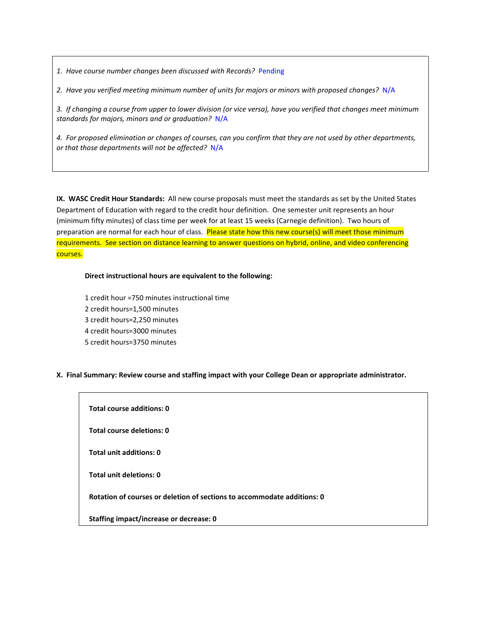*1. Have course number changes been discussed with Records?* Pending

*2. Have you verified meeting minimum number of units for majors or minors with proposed changes?* N/A

*3. If changing a course from upper to lower division (or vice versa), have you verified that changes meet minimum standards for majors, minors and or graduation?* N/A

*4. For proposed elimination or changes of courses, can you confirm that they are not used by other departments, or that those departments will not be affected?* N/A

**IX. WASC Credit Hour Standards:** All new course proposals must meet the standards as set by the United States Department of Education with regard to the credit hour definition. One semester unit represents an hour (minimum fifty minutes) of class time per week for at least 15 weeks (Carnegie definition). Two hours of preparation are normal for each hour of class. Please state how this new course(s) will meet those minimum requirements. See section on distance learning to answer questions on hybrid, online, and video conferencing courses.

# **Direct instructional hours are equivalent to the following:**

1 credit hour =750 minutes instructional time 2 credit hours=1,500 minutes 3 credit hours=2,250 minutes 4 credit hours=3000 minutes 5 credit hours=3750 minutes

### **X. Final Summary: Review course and staffing impact with your College Dean or appropriate administrator.**

| Total course additions: 0                                               |  |  |
|-------------------------------------------------------------------------|--|--|
| Total course deletions: 0                                               |  |  |
| Total unit additions: 0                                                 |  |  |
| Total unit deletions: 0                                                 |  |  |
| Rotation of courses or deletion of sections to accommodate additions: 0 |  |  |
| <b>Staffing impact/increase or decrease: 0</b>                          |  |  |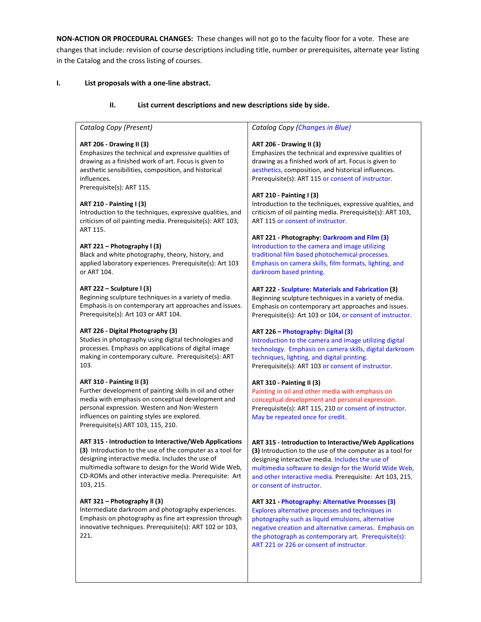**NON-ACTION OR PROCEDURAL CHANGES:** These changes will not go to the faculty floor for a vote. These are changes that include: revision of course descriptions including title, number or prerequisites, alternate year listing in the Catalog and the cross listing of courses.

# **I. List proposals with a one-line abstract.**

#### **II. List current descriptions and new descriptions side by side.**

*Catalog Copy (Present)*

#### **ART 206 - Drawing II (3)**

Emphasizes the technical and expressive qualities of drawing as a finished work of art. Focus is given to aesthetic sensibilities, composition, and historical influences. Prerequisite(s): ART 115.

#### **ART 210 - Painting I (3)**

Introduction to the techniques, expressive qualities, and criticism of oil painting media. Prerequisite(s): ART 103, ART 115.

#### **ART 221 – Photography l (3)**

Black and white photography, theory, history, and applied laboratory experiences. Prerequisite(s): Art 103 or ART 104.

#### **ART 222 – Sculpture l (3)**

Beginning sculpture techniques in a variety of media. Emphasis is on contemporary art approaches and issues. Prerequisite(s): Art 103 or ART 104.

#### **ART 226 - Digital Photography (3)**

Studies in photography using digital technologies and processes. Emphasis on applications of digital image making in contemporary culture. Prerequisite(s): ART 103.

#### **ART 310 - Painting II (3)**

Further development of painting skills in oil and other media with emphasis on conceptual development and personal expression. Western and Non-Western influences on painting styles are explored. Prerequisite(s) ART 103, 115, 210.

#### **ART 315 - Introduction to Interactive/Web Applications**

**(3)** Introduction to the use of the computer as a tool for designing interactive media. Includes the use of multimedia software to design for the World Wide Web, CD-ROMs and other interactive media. Prerequisite: Art 103, 215.

### **ART 321 – Photography ll (3)**

Intermediate darkroom and photography experiences. Emphasis on photography as fine art expression through innovative techniques. Prerequisite(s): ART 102 or 103, 221.

#### *Catalog Copy (Changes in Blue)*

#### **ART 206 - Drawing II (3)**

Emphasizes the technical and expressive qualities of drawing as a finished work of art. Focus is given to aesthetics, composition, and historical influences. Prerequisite(s): ART 115 or consent of instructor.

#### **ART 210 - Painting I (3)**

Introduction to the techniques, expressive qualities, and criticism of oil painting media. Prerequisite(s): ART 103, ART 115 or consent of instructor.

#### **ART 221 - Photography: Darkroom and Film (3)**

Introduction to the camera and image utilizing traditional film based photochemical processes. Emphasis on camera skills, film formats, lighting, and darkroom based printing.

### **ART 222 - Sculpture: Materials and Fabrication (3)**

Beginning sculpture techniques in a variety of media. Emphasis on contemporary art approaches and issues. Prerequisite(s): Art 103 or 104, or consent of instructor.

#### **ART 226 – Photography: Digital (3)**

Introduction to the camera and image utilizing digital technology. Emphasis on camera skills, digital darkroom techniques, lighting, and digital printing. Prerequisite(s): ART 103 or consent of instructor.

### **ART 310 - Painting II (3)**

Painting in oil and other media with emphasis on conceptual development and personal expression. Prerequisite(s): ART 115, 210 or consent of instructor. May be repeated once for credit.

**ART 315 - Introduction to Interactive/Web Applications (3)** Introduction to the use of the computer as a tool for designing interactive media. Includes the use of multimedia software to design for the World Wide Web, and other interactive media. Prerequisite: Art 103, 215, or consent of instructor.

### **ART 321 - Photography: Alternative Processes (3)**

Explores alternative processes and techniques in photography such as liquid emulsions, alternative negative creation and alternative cameras. Emphasis on the photograph as contemporary art. Prerequisite(s): ART 221 or 226 or consent of instructor.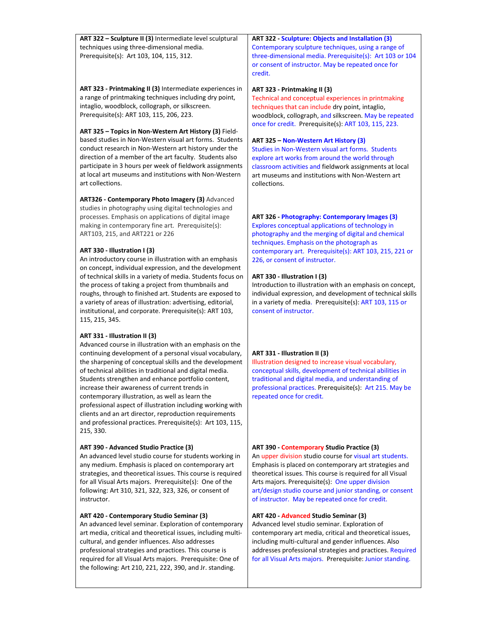**ART 322 – Sculpture II (3)** Intermediate level sculptural techniques using three-dimensional media. Prerequisite(s): Art 103, 104, 115, 312.

**ART 323 - Printmaking II (3)** Intermediate experiences in a range of printmaking techniques including dry point, intaglio, woodblock, collograph, or silkscreen. Prerequisite(s): ART 103, 115, 206, 223.

**ART 325 – Topics in Non-Western Art History (3)** Fieldbased studies in Non-Western visual art forms. Students conduct research in Non-Western art history under the direction of a member of the art faculty. Students also participate in 3 hours per week of fieldwork assignments at local art museums and institutions with Non-Western art collections.

**ART326 - Contemporary Photo Imagery (3)** Advanced studies in photography using digital technologies and processes. Emphasis on applications of digital image making in contemporary fine art. Prerequisite(s): ART103, 215, and ART221 or 226

### **ART 330 - Illustration I (3)**

An introductory course in illustration with an emphasis on concept, individual expression, and the development of technical skills in a variety of media. Students focus on the process of taking a project from thumbnails and roughs, through to finished art. Students are exposed to a variety of areas of illustration: advertising, editorial, institutional, and corporate. Prerequisite(s): ART 103, 115, 215, 345.

### **ART 331 - Illustration II (3)**

Advanced course in illustration with an emphasis on the continuing development of a personal visual vocabulary, the sharpening of conceptual skills and the development of technical abilities in traditional and digital media. Students strengthen and enhance portfolio content, increase their awareness of current trends in contemporary illustration, as well as learn the professional aspect of illustration including working with clients and an art director, reproduction requirements and professional practices. Prerequisite(s): Art 103, 115, 215, 330.

#### **ART 390 - Advanced Studio Practice (3)**

An advanced level studio course for students working in any medium. Emphasis is placed on contemporary art strategies, and theoretical issues. This course is required for all Visual Arts majors. Prerequisite(s): One of the following: Art 310, 321, 322, 323, 326, or consent of instructor.

#### **ART 420 - Contemporary Studio Seminar (3)**

An advanced level seminar. Exploration of contemporary art media, critical and theoretical issues, including multicultural, and gender influences. Also addresses professional strategies and practices. This course is required for all Visual Arts majors. Prerequisite: One of the following: Art 210, 221, 222, 390, and Jr. standing.

**ART 322 - Sculpture: Objects and Installation (3)** Contemporary sculpture techniques, using a range of three-dimensional media. Prerequisite(s): Art 103 or 104 or consent of instructor. May be repeated once for credit.

#### **ART 323 - Printmaking II (3)**

Technical and conceptual experiences in printmaking techniques that can include dry point, intaglio, woodblock, collograph, and silkscreen. May be repeated once for credit. Prerequisite(s): ART 103, 115, 223.

#### **ART 325 – Non-Western Art History (3)**

Studies in Non-Western visual art forms. Students explore art works from around the world through classroom activities and fieldwork assignments at local art museums and institutions with Non-Western art collections.

#### **ART 326 - Photography: Contemporary Images (3)**

Explores conceptual applications of technology in photography and the merging of digital and chemical techniques. Emphasis on the photograph as contemporary art. Prerequisite(s): ART 103, 215, 221 or 226, or consent of instructor.

#### **ART 330 - Illustration I (3)**

Introduction to illustration with an emphasis on concept, individual expression, and development of technical skills in a variety of media. Prerequisite(s): ART 103, 115 or consent of instructor.

### **ART 331 - Illustration II (3)**

Illustration designed to increase visual vocabulary, conceptual skills, development of technical abilities in traditional and digital media, and understanding of professional practices. Prerequisite(s): Art 215. May be repeated once for credit.

#### **ART 390 - Contemporary Studio Practice (3)**

An upper division studio course for visual art students. Emphasis is placed on contemporary art strategies and theoretical issues. This course is required for all Visual Arts majors. Prerequisite(s): One upper division art/design studio course and junior standing, or consent of instructor. May be repeated once for credit.

#### **ART 420 - Advanced Studio Seminar (3)**

Advanced level studio seminar. Exploration of contemporary art media, critical and theoretical issues, including multi-cultural and gender influences. Also addresses professional strategies and practices. Required for all Visual Arts majors. Prerequisite: Junior standing.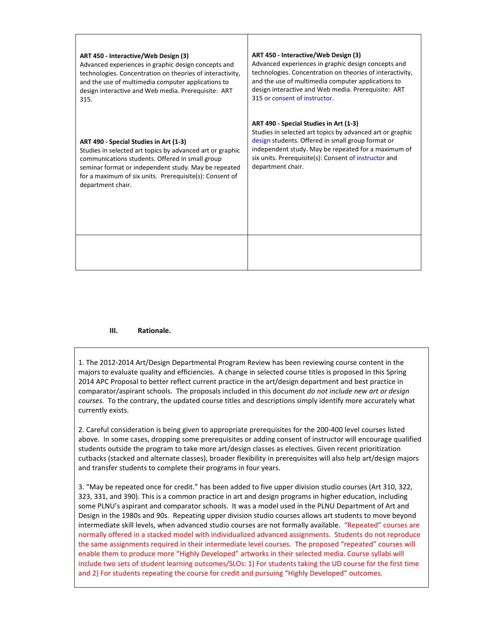| ART 450 - Interactive/Web Design (3)                      | ART 450 - Interactive/Web Design (3)                      |
|-----------------------------------------------------------|-----------------------------------------------------------|
| Advanced experiences in graphic design concepts and       | Advanced experiences in graphic design concepts and       |
| technologies. Concentration on theories of interactivity, | technologies. Concentration on theories of interactivity, |
| and the use of multimedia computer applications to        | and the use of multimedia computer applications to        |
| design interactive and Web media. Prerequisite: ART       | design interactive and Web media. Prerequisite: ART       |
| 315.                                                      | 315 or consent of instructor.                             |
| ART 490 - Special Studies in Art (1-3)                    | ART 490 - Special Studies in Art (1-3)                    |
| Studies in selected art topics by advanced art or graphic | Studies in selected art topics by advanced art or graphic |
| communications students. Offered in small group           | design students. Offered in small group format or         |
| seminar format or independent study. May be repeated      | independent study. May be repeated for a maximum of       |
| for a maximum of six units. Prerequisite(s): Consent of   | six units. Prerequisite(s): Consent of instructor and     |
| department chair.                                         | department chair.                                         |
|                                                           |                                                           |

# **III. Rationale.**

1. The 2012-2014 Art/Design Departmental Program Review has been reviewing course content in the majors to evaluate quality and efficiencies. A change in selected course titles is proposed in this Spring 2014 APC Proposal to better reflect current practice in the art/design department and best practice in comparator/aspirant schools. The proposals included in this document *do not include new art or design courses.* To the contrary, the updated course titles and descriptions simply identify more accurately what currently exists.

2. Careful consideration is being given to appropriate prerequisites for the 200-400 level courses listed above. In some cases, dropping some prerequisites or adding consent of instructor will encourage qualified students outside the program to take more art/design classes as electives. Given recent prioritization cutbacks (stacked and alternate classes), broader flexibility in prerequisites will also help art/design majors and transfer students to complete their programs in four years.

3. "May be repeated once for credit." has been added to five upper division studio courses (Art 310, 322, 323, 331, and 390). This is a common practice in art and design programs in higher education, including some PLNU's aspirant and comparator schools. It was a model used in the PLNU Department of Art and Design in the 1980s and 90s. Repeating upper division studio courses allows art students to move beyond intermediate skill levels, when advanced studio courses are not formally available. "Repeated" courses are normally offered in a stacked model with individualized advanced assignments. Students do not reproduce the same assignments required in their intermediate level courses. The proposed "repeated" courses will enable them to produce more "Highly Developed" artworks in their selected media. Course syllabi will include two sets of student learning outcomes/SLOs: 1) For students taking the UD course for the first time and 2) For students repeating the course for credit and pursuing "Highly Developed" outcomes.